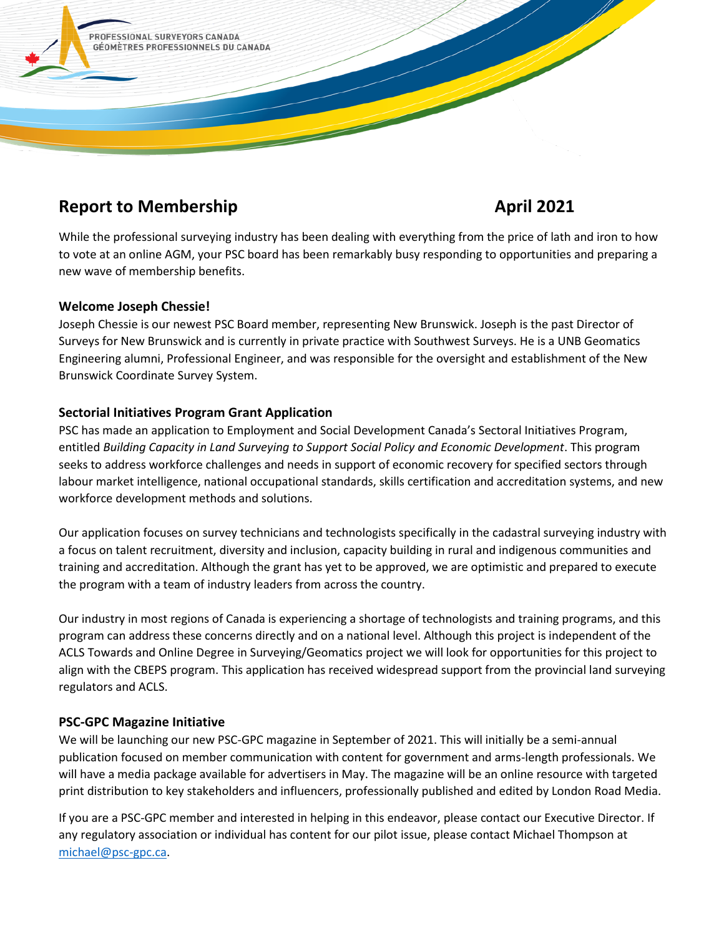

# **Report to Membership April 2021**

While the professional surveying industry has been dealing with everything from the price of lath and iron to how to vote at an online AGM, your PSC board has been remarkably busy responding to opportunities and preparing a new wave of membership benefits.

# **Welcome Joseph Chessie!**

Joseph Chessie is our newest PSC Board member, representing New Brunswick. Joseph is the past Director of Surveys for New Brunswick and is currently in private practice with Southwest Surveys. He is a UNB Geomatics Engineering alumni, Professional Engineer, and was responsible for the oversight and establishment of the New Brunswick Coordinate Survey System.

# **Sectorial Initiatives Program Grant Application**

PSC has made an application to Employment and Social Development Canada's Sectoral Initiatives Program, entitled *Building Capacity in Land Surveying to Support Social Policy and Economic Development*. This program seeks to address workforce challenges and needs in support of economic recovery for specified sectors through labour market intelligence, national occupational standards, skills certification and accreditation systems, and new workforce development methods and solutions.

Our application focuses on survey technicians and technologists specifically in the cadastral surveying industry with a focus on talent recruitment, diversity and inclusion, capacity building in rural and indigenous communities and training and accreditation. Although the grant has yet to be approved, we are optimistic and prepared to execute the program with a team of industry leaders from across the country.

Our industry in most regions of Canada is experiencing a shortage of technologists and training programs, and this program can address these concerns directly and on a national level. Although this project is independent of the ACLS Towards and Online Degree in Surveying/Geomatics project we will look for opportunities for this project to align with the CBEPS program. This application has received widespread support from the provincial land surveying regulators and ACLS.

# **PSC-GPC Magazine Initiative**

We will be launching our new PSC-GPC magazine in September of 2021. This will initially be a semi-annual publication focused on member communication with content for government and arms-length professionals. We will have a media package available for advertisers in May. The magazine will be an online resource with targeted print distribution to key stakeholders and influencers, professionally published and edited by London Road Media.

If you are a PSC-GPC member and interested in helping in this endeavor, please contact our Executive Director. If any regulatory association or individual has content for our pilot issue, please contact Michael Thompson at [michael@psc-gpc.ca.](mailto:michael@psc-gpc.ca)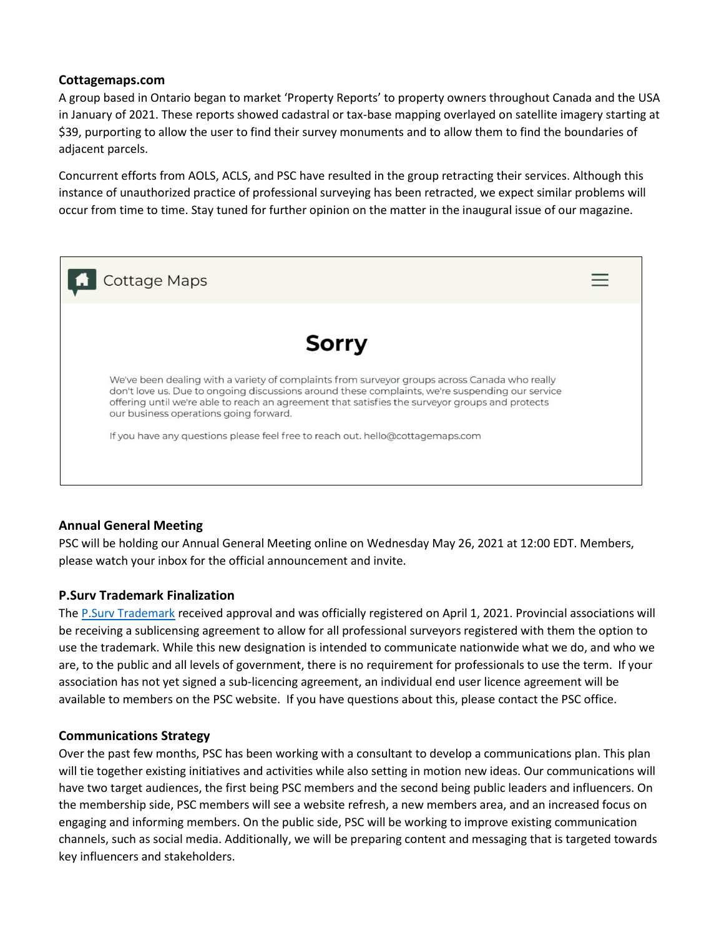### **Cottagemaps.com**

A group based in Ontario began to market 'Property Reports' to property owners throughout Canada and the USA in January of 2021. These reports showed cadastral or tax-base mapping overlayed on satellite imagery starting at \$39, purporting to allow the user to find their survey monuments and to allow them to find the boundaries of adjacent parcels.

Concurrent efforts from AOLS, ACLS, and PSC have resulted in the group retracting their services. Although this instance of unauthorized practice of professional surveying has been retracted, we expect similar problems will occur from time to time. Stay tuned for further opinion on the matter in the inaugural issue of our magazine.



# **Annual General Meeting**

PSC will be holding our Annual General Meeting online on Wednesday May 26, 2021 at 12:00 EDT. Members, please watch your inbox for the official announcement and invite.

# **P.Surv Trademark Finalization**

Th[e P.Surv Trademark](http://www.ic.gc.ca/app/opic-cipo/trdmrks/srch/viewTrademark?id=1924904&lang=eng&tab=reg&posNum=1&search=%7B%22selectField1%22%3A%22all%22%2C%22textField1%22%3A%221924904%22%2C%22category%22%3A%22%22%2C%22type%22%3A%22%22%2C%22status%22%3A%22%22%2C%22viennaField%22%3A%5B%5D%2C%22domIntlFilter%22%3A%221%22%2C%22searchDates%22%3A%5B%5D%2C%22selectMaxDoc%22%3A%22500%22%2C%22language%22%3A%22eng%22%7D&length=25&start=0) received approval and was officially registered on April 1, 2021. Provincial associations will be receiving a sublicensing agreement to allow for all professional surveyors registered with them the option to use the trademark. While this new designation is intended to communicate nationwide what we do, and who we are, to the public and all levels of government, there is no requirement for professionals to use the term. If your association has not yet signed a sub-licencing agreement, an individual end user licence agreement will be available to members on the PSC website. If you have questions about this, please contact the PSC office.

# **Communications Strategy**

Over the past few months, PSC has been working with a consultant to develop a communications plan. This plan will tie together existing initiatives and activities while also setting in motion new ideas. Our communications will have two target audiences, the first being PSC members and the second being public leaders and influencers. On the membership side, PSC members will see a website refresh, a new members area, and an increased focus on engaging and informing members. On the public side, PSC will be working to improve existing communication channels, such as social media. Additionally, we will be preparing content and messaging that is targeted towards key influencers and stakeholders.